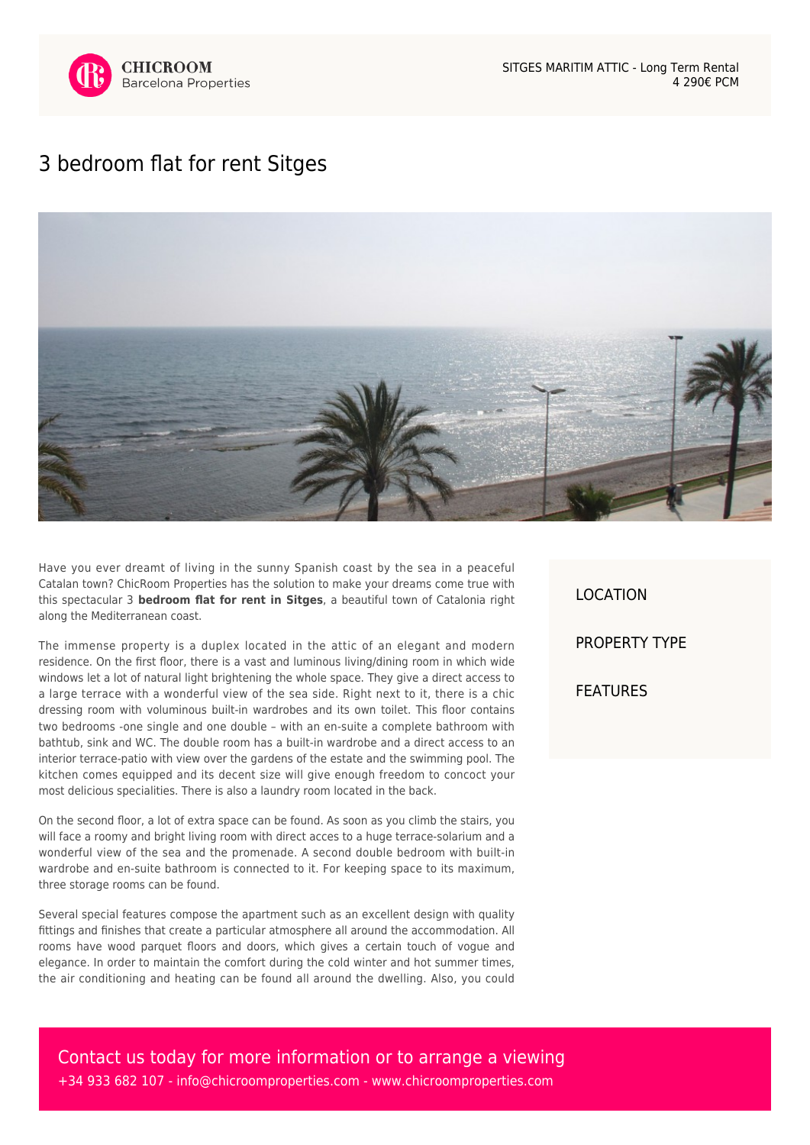

## [3 bedroom flat for rent Sitges](https://www.chicroomproperties.com/en/property/586/3-bedroom-flat-for-rent-sitges/)



Have you ever dreamt of living in the sunny Spanish coast by the sea in a peaceful Catalan town? ChicRoom Properties has the solution to make your dreams come true with this spectacular 3 **bedroom flat for rent in Sitges**, a beautiful town of Catalonia right along the Mediterranean coast.

The immense property is a duplex located in the attic of an elegant and modern residence. On the first floor, there is a vast and luminous living/dining room in which wide windows let a lot of natural light brightening the whole space. They give a direct access to a large terrace with a wonderful view of the sea side. Right next to it, there is a chic dressing room with voluminous built-in wardrobes and its own toilet. This floor contains two bedrooms -one single and one double – with an en-suite a complete bathroom with bathtub, sink and WC. The double room has a built-in wardrobe and a direct access to an interior terrace-patio with view over the gardens of the estate and the swimming pool. The kitchen comes equipped and its decent size will give enough freedom to concoct your most delicious specialities. There is also a laundry room located in the back.

On the second floor, a lot of extra space can be found. As soon as you climb the stairs, you will face a roomy and bright living room with direct acces to a huge terrace-solarium and a wonderful view of the sea and the promenade. A second double bedroom with built-in wardrobe and en-suite bathroom is connected to it. For keeping space to its maximum, three storage rooms can be found.

Several special features compose the apartment such as an excellent design with quality fittings and finishes that create a particular atmosphere all around the accommodation. All rooms have wood parquet floors and doors, which gives a certain touch of vogue and elegance. In order to maintain the comfort during the cold winter and hot summer times, the air conditioning and heating can be found all around the dwelling. Also, you could

LOCATION PROPERTY TYPE FEATURES

Contact us today for more information or to arrange a viewing +34 933 682 107 - [info@chicroomproperties.com](mailto:info@chicroomproperties.com) - [www.chicroomproperties.com](http://www.chicroomproperties.com)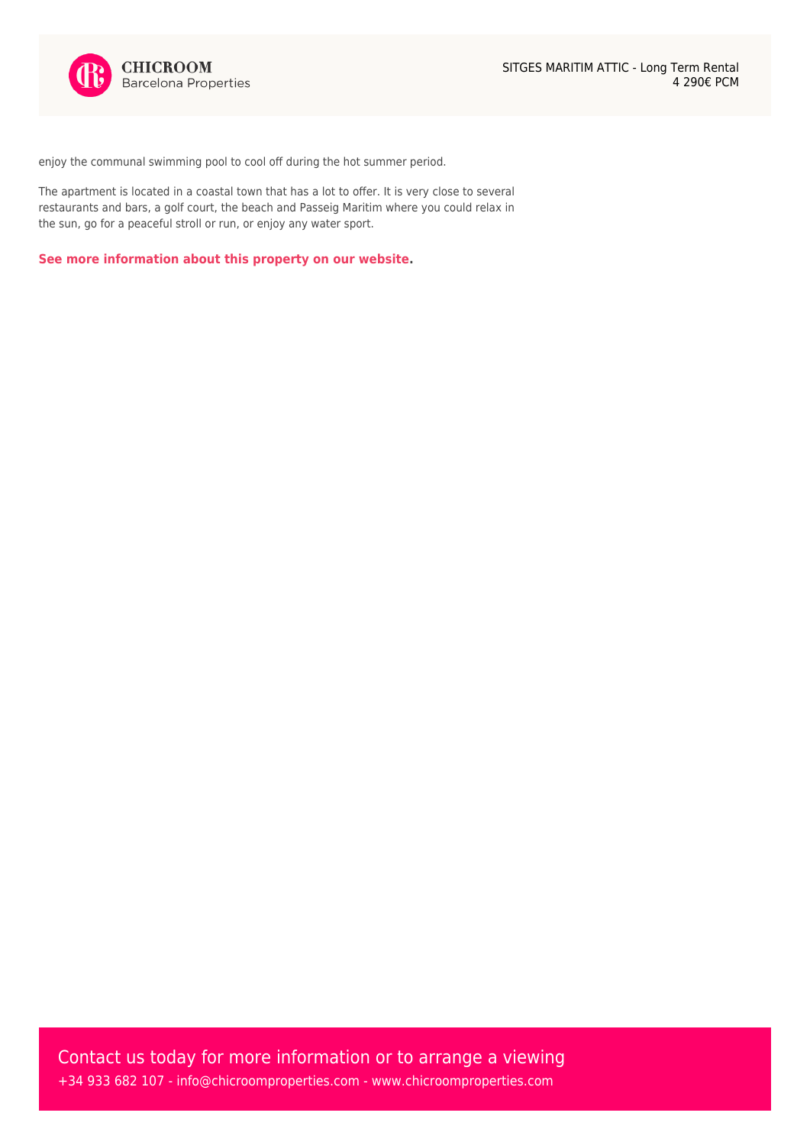enjoy the communal swimming pool to cool off during the hot summer period.

The apartment is located in a coastal town that has a lot to offer. It is very close to several restaurants and bars, a golf court, the beach and Passeig Maritim where you could relax in the sun, go for a peaceful stroll or run, or enjoy any water sport.

**[See more information about this property on our website.](https://www.chicroomproperties.com/en/property/586/3-bedroom-flat-for-rent-sitges/)**